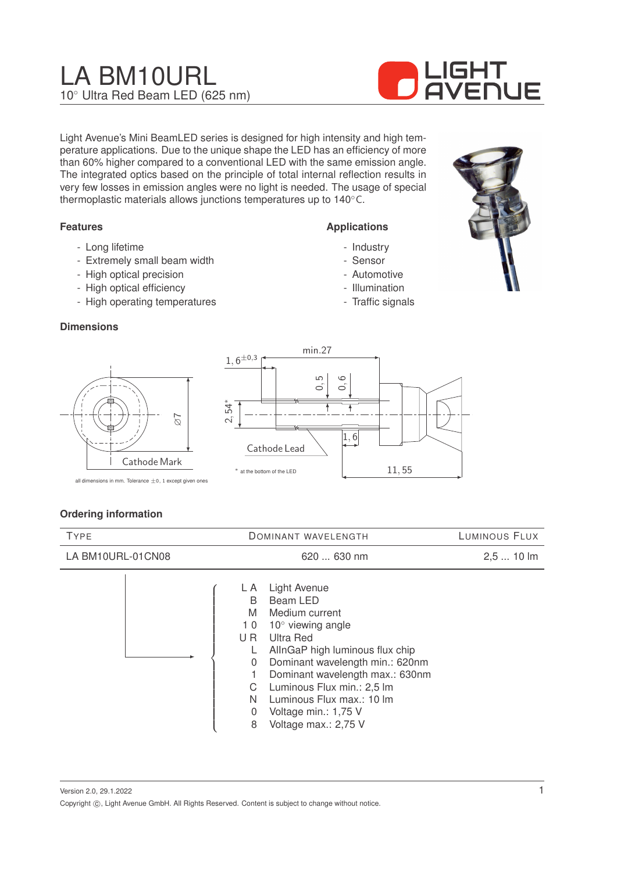# LA BM10URL 10◦ Ultra Red Beam LED (625 nm)



Light Avenue's Mini BeamLED series is designed for high intensity and high temperature applications. Due to the unique shape the LED has an efficiency of more than 60% higher compared to a conventional LED with the same emission angle. The integrated optics based on the principle of total internal reflection results in very few losses in emission angles were no light is needed. The usage of special thermoplastic materials allows junctions temperatures up to 140◦C.

#### **Features**

- Long lifetime
- Extremely small beam width
- High optical precision
- High optical efficiency
- High operating temperatures

#### **Dimensions**



all dimensions in mm. Tolerance  $\pm 0$ , 1 except given ones

Cathode Mark

 $\overline{\sigma}$ 

#### **Ordering information**

| <b>TYPE</b>       | <b>DOMINANT WAVELENGTH</b>                                                                                                                                                                                                                                                                                                                                                                           | LUMINOUS FLUX |
|-------------------|------------------------------------------------------------------------------------------------------------------------------------------------------------------------------------------------------------------------------------------------------------------------------------------------------------------------------------------------------------------------------------------------------|---------------|
| LA BM10URL-01CN08 | 620  630 nm                                                                                                                                                                                                                                                                                                                                                                                          | $2,510$ lm    |
|                   | Light Avenue<br>L A<br>Beam LED<br>B<br>M<br>Medium current<br>$10^{\circ}$ viewing angle<br>10<br><b>Ultra Red</b><br>U <sub>R</sub><br>AllnGaP high luminous flux chip<br>L<br>Dominant wavelength min.: 620nm<br>$\overline{0}$<br>Dominant wavelength max.: 630nm<br>Luminous Flux min.: 2,5 lm<br>C<br>N<br>Luminous Flux max.: 10 lm<br>Voltage min.: 1,75 V<br>0<br>Voltage max.: 2,75 V<br>8 |               |

Version 2.0, 29.1.2022 Copyright  $\circled{c}$ , Light Avenue GmbH. All Rights Reserved. Content is subject to change without notice.

# **Applications**

- Industry
- Sensor
- Automotive
- Illumination
- Traffic signals



1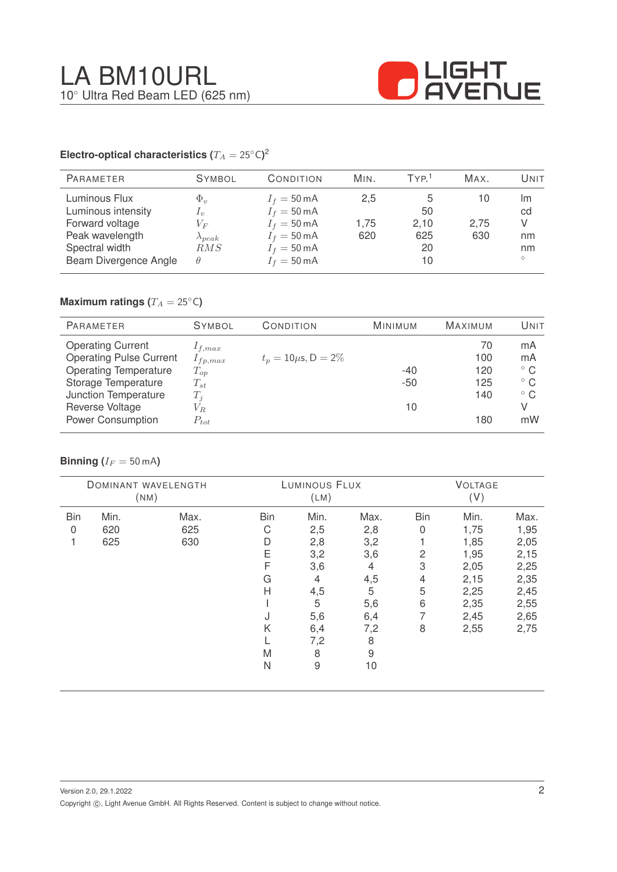

#### **Electro-optical characteristics (T\_A = 25^{\circ} \text{C}</math>)<sup>2</sup>**

| <b>PARAMETER</b>                                                                                                     | <b>SYMBOL</b>                                                                                                                                                                                       | CONDITION                                                                                                                                          | MIN.               | TYP <sup>1</sup>              | MAX.              | Unit                                 |
|----------------------------------------------------------------------------------------------------------------------|-----------------------------------------------------------------------------------------------------------------------------------------------------------------------------------------------------|----------------------------------------------------------------------------------------------------------------------------------------------------|--------------------|-------------------------------|-------------------|--------------------------------------|
| Luminous Flux<br>Luminous intensity<br>Forward voltage<br>Peak wavelength<br>Spectral width<br>Beam Divergence Angle | $\Phi_v$<br>$\mathcal{L}_v$<br>$V_{F}% ^{r}\left( \mathcal{S}\right) =\left( \mathcal{S}\right) ^{r}\left( \mathcal{S}\right) ^{r}\left( \mathcal{S}\right)$<br>$\lambda_{peak}$<br>RMS<br>$\theta$ | $I_f = 50 \text{ mA}$<br>$I_f = 50 \text{ mA}$<br>$I_f = 50 \text{ mA}$<br>$I_f = 50 \text{ mA}$<br>$I_f = 50 \text{ mA}$<br>$I_f = 50 \text{ mA}$ | 2,5<br>1.75<br>620 | 50<br>2,10<br>625<br>20<br>10 | 10<br>2,75<br>630 | Im<br>cd<br>V<br>nm<br>nm<br>$\circ$ |

## **Maximum ratings (** $T_A = 25$ °C)

| <b>PARAMETER</b>               | <b>SYMBOL</b> | CONDITION                 | <b>MINIMUM</b> | <b>MAXIMUM</b> | UNIT         |
|--------------------------------|---------------|---------------------------|----------------|----------------|--------------|
| <b>Operating Current</b>       | $1_{f,max}$   |                           |                | 70             | mA           |
| <b>Operating Pulse Current</b> | $I_{fp,max}$  | $t_p = 10 \mu s$ , D = 2% |                | 100            | mA           |
| <b>Operating Temperature</b>   | $T_{op}$      |                           | $-40$          | 120            | $^{\circ}$ C |
| Storage Temperature            | $T_{st}$      |                           | $-50$          | 125            | $^{\circ}$ C |
| Junction Temperature           | $T_i$         |                           |                | 140            | $^{\circ}$ C |
| Reverse Voltage                | $V_{R.}$      |                           | 10             |                | V            |
| <b>Power Consumption</b>       | $P_{tot}$     |                           |                | 180            | mW           |

#### **Binning** ( $I_F = 50$  mA)

|            |      | DOMINANT WAVELENGTH<br>(NM) |            | LUMINOUS FLUX<br>(LM) |      |            | <b>VOLTAGE</b><br>(V) |      |
|------------|------|-----------------------------|------------|-----------------------|------|------------|-----------------------|------|
| <b>Bin</b> | Min. | Max.                        | <b>Bin</b> | Min.                  | Max. | <b>Bin</b> | Min.                  | Max. |
| 0          | 620  | 625                         | С          | 2,5                   | 2,8  | 0          | 1,75                  | 1,95 |
|            | 625  | 630                         | D          | 2,8                   | 3,2  |            | 1,85                  | 2,05 |
|            |      |                             | Ε          | 3,2                   | 3,6  | 2          | 1,95                  | 2,15 |
|            |      |                             | F          | 3,6                   | 4    | 3          | 2,05                  | 2,25 |
|            |      |                             | G          | $\overline{4}$        | 4,5  | 4          | 2,15                  | 2,35 |
|            |      |                             | Н          | 4,5                   | 5    | 5          | 2,25                  | 2,45 |
|            |      |                             |            | 5                     | 5,6  | 6          | 2,35                  | 2,55 |
|            |      |                             | J          | 5,6                   | 6,4  | 7          | 2,45                  | 2,65 |
|            |      |                             | Κ          | 6,4                   | 7,2  | 8          | 2,55                  | 2,75 |
|            |      |                             |            | 7,2                   | 8    |            |                       |      |
|            |      |                             | M          | 8                     | 9    |            |                       |      |
|            |      |                             | N          | $\hbox{9}$            | 10   |            |                       |      |
|            |      |                             |            |                       |      |            |                       |      |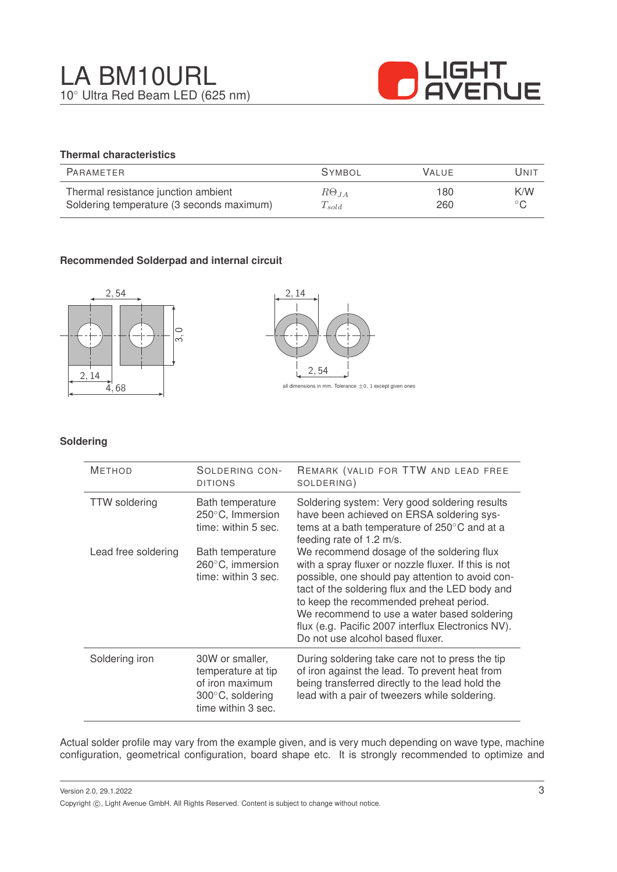

### **Thermal characteristics**

| PARAMETER                                 | <b>SYMBOL</b>        | <b>VALUE</b> | UNIT           |
|-------------------------------------------|----------------------|--------------|----------------|
| Thermal resistance junction ambient       | $R\Theta_{JA}$       | 180          | K/W            |
| Soldering temperature (3 seconds maximum) | $\mathcal{L}_{sold}$ | 260          | $\circ$ $\cap$ |

#### **Recommended Solderpad and internal circuit**





#### **Soldering**

| <b>METHOD</b>        | SOLDERING CON-<br><b>DITIONS</b>                                                                             | REMARK (VALID FOR TTW AND LEAD FREE<br>SOLDERING)                                                                                                                                                                                                                                                                                                                                            |
|----------------------|--------------------------------------------------------------------------------------------------------------|----------------------------------------------------------------------------------------------------------------------------------------------------------------------------------------------------------------------------------------------------------------------------------------------------------------------------------------------------------------------------------------------|
| <b>TTW</b> soldering | Bath temperature<br>250°C, Immersion<br>time: within 5 sec.                                                  | Soldering system: Very good soldering results<br>have been achieved on ERSA soldering sys-<br>tems at a bath temperature of 250°C and at a<br>feeding rate of 1.2 m/s.                                                                                                                                                                                                                       |
| Lead free soldering  | Bath temperature<br>260°C, immersion<br>time: within 3 sec.                                                  | We recommend dosage of the soldering flux<br>with a spray fluxer or nozzle fluxer. If this is not<br>possible, one should pay attention to avoid con-<br>tact of the soldering flux and the LED body and<br>to keep the recommended preheat period.<br>We recommend to use a water based soldering<br>flux (e.g. Pacific 2007 interflux Electronics NV).<br>Do not use alcohol based fluxer. |
| Soldering iron       | 30W or smaller,<br>temperature at tip<br>of iron maximum<br>$300^{\circ}$ C, soldering<br>time within 3 sec. | During soldering take care not to press the tip<br>of iron against the lead. To prevent heat from<br>being transferred directly to the lead hold the<br>lead with a pair of tweezers while soldering.                                                                                                                                                                                        |

Actual solder profile may vary from the example given, and is very much depending on wave type, machine configuration, geometrical configuration, board shape etc. It is strongly recommended to optimize and

Version 2.0, 29.1.2022 Copyright ©, Light Avenue GmbH. All Rights Reserved. Content is subject to change without notice.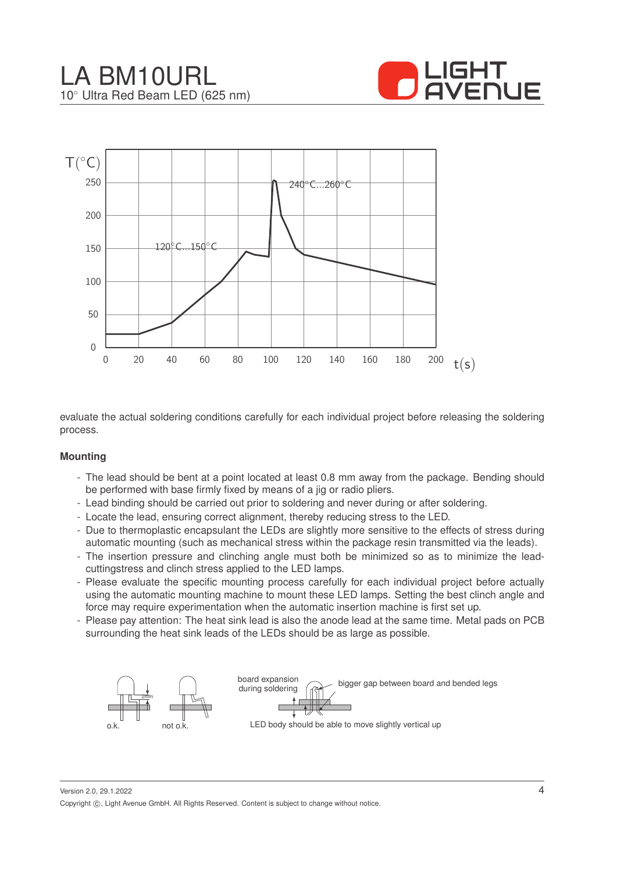





evaluate the actual soldering conditions carefully for each individual project before releasing the soldering process.

#### **Mounting**

- The lead should be bent at a point located at least 0.8 mm away from the package. Bending should be performed with base firmly fixed by means of a jig or radio pliers.
- Lead binding should be carried out prior to soldering and never during or after soldering.
- Locate the lead, ensuring correct alignment, thereby reducing stress to the LED.
- Due to thermoplastic encapsulant the LEDs are slightly more sensitive to the effects of stress during automatic mounting (such as mechanical stress within the package resin transmitted via the leads).
- The insertion pressure and clinching angle must both be minimized so as to minimize the leadcuttingstress and clinch stress applied to the LED lamps.
- Please evaluate the specific mounting process carefully for each individual project before actually using the automatic mounting machine to mount these LED lamps. Setting the best clinch angle and force may require experimentation when the automatic insertion machine is first set up.
- Please pay attention: The heat sink lead is also the anode lead at the same time. Metal pads on PCB surrounding the heat sink leads of the LEDs should be as large as possible.



Version 2.0, 29.1.2022 Copyright ©, Light Avenue GmbH. All Rights Reserved. Content is subject to change without notice.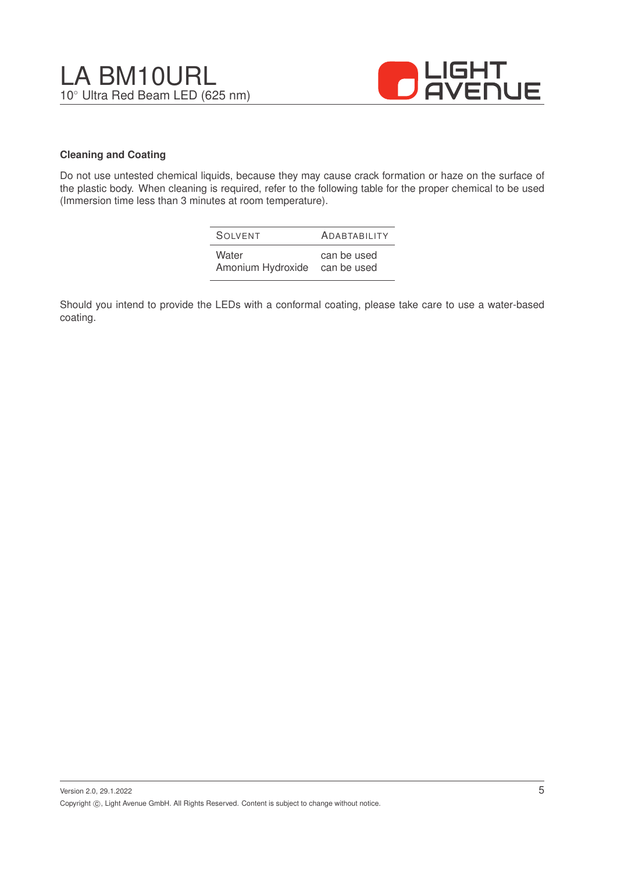



#### **Cleaning and Coating**

Do not use untested chemical liquids, because they may cause crack formation or haze on the surface of the plastic body. When cleaning is required, refer to the following table for the proper chemical to be used (Immersion time less than 3 minutes at room temperature).

| SOIVENT           | <b>ADABTABILITY</b> |
|-------------------|---------------------|
| Water             | can be used         |
| Amonium Hydroxide | can be used         |

Should you intend to provide the LEDs with a conformal coating, please take care to use a water-based coating.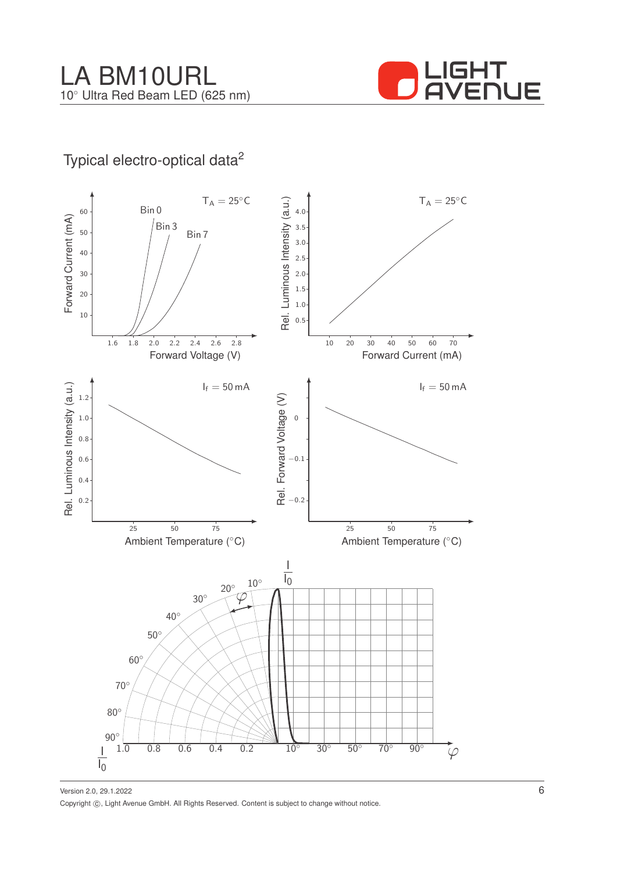

## Typical electro-optical data<sup>2</sup>



Version 2.0, 29.1.2022 Copyright ©, Light Avenue GmbH. All Rights Reserved. Content is subject to change without notice.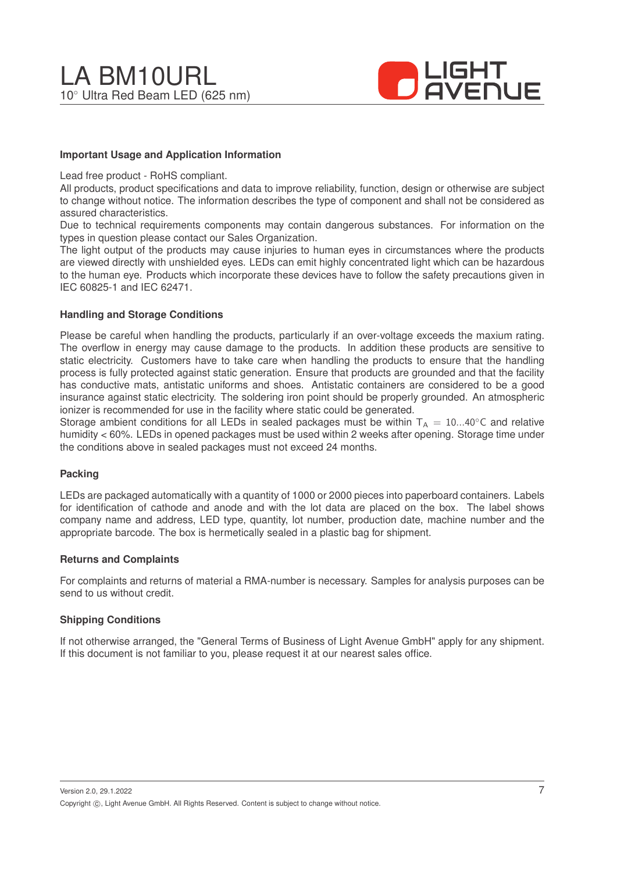

#### **Important Usage and Application Information**

Lead free product - RoHS compliant.

All products, product specifications and data to improve reliability, function, design or otherwise are subject to change without notice. The information describes the type of component and shall not be considered as assured characteristics.

Due to technical requirements components may contain dangerous substances. For information on the types in question please contact our Sales Organization.

The light output of the products may cause injuries to human eyes in circumstances where the products are viewed directly with unshielded eyes. LEDs can emit highly concentrated light which can be hazardous to the human eye. Products which incorporate these devices have to follow the safety precautions given in IEC 60825-1 and IEC 62471.

#### **Handling and Storage Conditions**

Please be careful when handling the products, particularly if an over-voltage exceeds the maxium rating. The overflow in energy may cause damage to the products. In addition these products are sensitive to static electricity. Customers have to take care when handling the products to ensure that the handling process is fully protected against static generation. Ensure that products are grounded and that the facility has conductive mats, antistatic uniforms and shoes. Antistatic containers are considered to be a good insurance against static electricity. The soldering iron point should be properly grounded. An atmospheric ionizer is recommended for use in the facility where static could be generated.

Storage ambient conditions for all LEDs in sealed packages must be within  $T_A = 10...40^\circ$ C and relative humidity < 60%. LEDs in opened packages must be used within 2 weeks after opening. Storage time under the conditions above in sealed packages must not exceed 24 months.

#### **Packing**

LEDs are packaged automatically with a quantity of 1000 or 2000 pieces into paperboard containers. Labels for identification of cathode and anode and with the lot data are placed on the box. The label shows company name and address, LED type, quantity, lot number, production date, machine number and the appropriate barcode. The box is hermetically sealed in a plastic bag for shipment.

#### **Returns and Complaints**

For complaints and returns of material a RMA-number is necessary. Samples for analysis purposes can be send to us without credit.

#### **Shipping Conditions**

If not otherwise arranged, the "General Terms of Business of Light Avenue GmbH" apply for any shipment. If this document is not familiar to you, please request it at our nearest sales office.